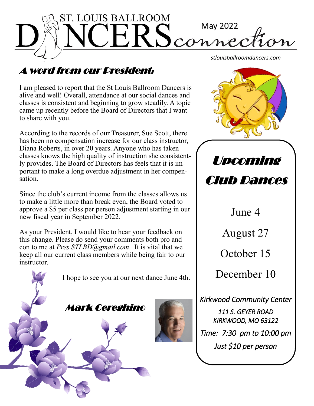

# A word from our President:

I am pleased to report that the St Louis Ballroom Dancers is alive and well! Overall, attendance at our social dances and classes is consistent and beginning to grow steadily. A topic came up recently before the Board of Directors that I want to share with you.

According to the records of our Treasurer, Sue Scott, there has been no compensation increase for our class instructor, Diana Roberts, in over 20 years. Anyone who has taken classes knows the high quality of instruction she consistently provides. The Board of Directors has feels that it is important to make a long overdue adjustment in her compensation.

Since the club's current income from the classes allows us to make a little more than break even, the Board voted to approve a \$5 per class per person adjustment starting in our new fiscal year in September 2022.

As your President, I would like to hear your feedback on this change. Please do send your comments both pro and con to me at *Pres.STLBD@gmail.com*. It is vital that we keep all our current class members while being fair to our instructor.



*stlouisballroomdancers.com*



Upcoming Club Dances

> June 4 August 27 October 15 December 10

*Kirkwood Community Center 111 S. GEYER ROAD KIRKWOOD, MO 63122 Time: 7:30 pm to 10:00 pm Just \$10 per person*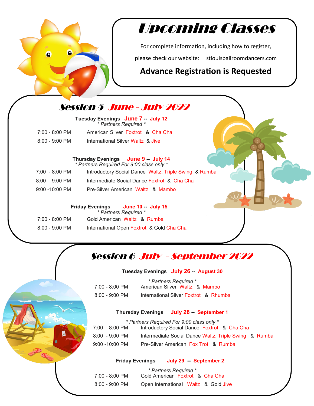

# Upcoming Classes

For complete information, including how to register,

please check our website: stlouisballroomdancers.com

### **Advance Registration is Requested**

## Session 5 June - July 2022

**Tuesday Evenings June 7 -- July 12** *\* Partners Required \** 7:00 - 8:00 PM American Silver Foxtrot & Cha Cha

8:00 - 9:00 PM International Silver Waltz & Jive

#### **Thursday Evenings June 9 -- July 14** *\* Partners Required For 9:00 class only \**

| 7:00 - 8:00 PM | Introductory Social Dance Waltz, Triple Swing & Rumba |
|----------------|-------------------------------------------------------|
| 8:00 - 9:00 PM | Intermediate Social Dance Foxtrot & Cha Cha           |
| 9:00 -10:00 PM | Pre-Silver American Waltz & Mambo                     |

### **Friday Evenings June 10 -- July 15**  *\* Partners Required \**

| $7:00 - 8:00$ PM | Gold American Waltz & Rumba               |
|------------------|-------------------------------------------|
| $8:00 - 9:00$ PM | International Open Foxtrot & Gold Cha Cha |

# Session 6 July - September 2022

### **Tuesday Evenings July 26 -- August 30**

|                  | * Partners Required *                 |
|------------------|---------------------------------------|
| 7:00 - 8:00 PM   | American Silver Waltz & Mambo         |
| $8:00 - 9:00$ PM | International Silver Foxtrot & Rhumba |

### **Thursday Evenings July 28 -- September 1**

*\* Partners Required For 9:00 class only \** 7:00 - 8:00 PM Introductory Social Dance Foxtrot & Cha Cha 8:00 - 9:00 PM Intermediate Social Dance Waltz, Triple Swing & Rumba 9:00 -10:00 PM Pre-Silver American Fox Trot & Rumba

**Friday Evenings July 29 -- September 2** 

|                          | * Partners Required *                |
|--------------------------|--------------------------------------|
| $7:00 - 8:00 \text{ PM}$ | Gold American Foxtrot & Cha Cha      |
| $8:00 - 9:00$ PM         | Open International Waltz & Gold Jive |